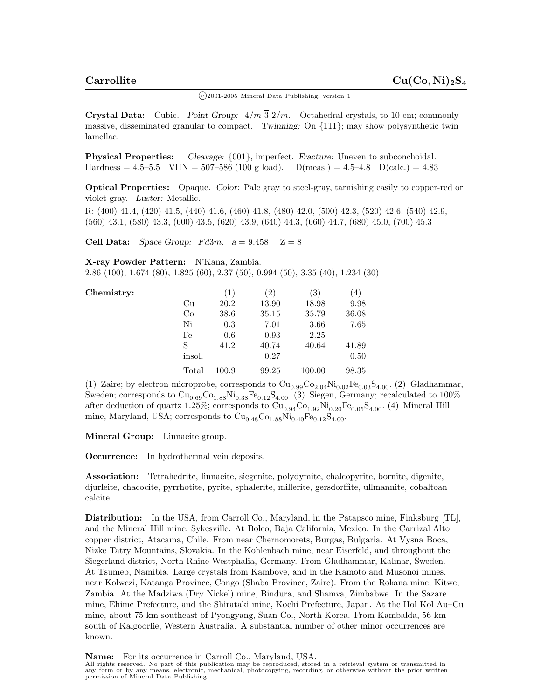$\binom{c}{2001-2005}$  Mineral Data Publishing, version 1

**Crystal Data:** Cubic. *Point Group:* 4*/m* 3 2*/m.* Octahedral crystals, to 10 cm; commonly massive, disseminated granular to compact. *Twinning:* On {111}; may show polysynthetic twin lamellae.

**Physical Properties:** *Cleavage:* {001}, imperfect. *Fracture:* Uneven to subconchoidal.<br>Hardness =  $4.5-5.5$  VHN =  $507-586$  (100 g load). D(meas.) =  $4.5-4.8$  D(calc.) =  $4.83$ Hardness =  $4.5-5.5$  VHN =  $507-586$  (100 g load).

**Optical Properties:** Opaque. *Color:* Pale gray to steel-gray, tarnishing easily to copper-red or violet-gray. *Luster:* Metallic.

R: (400) 41.4, (420) 41.5, (440) 41.6, (460) 41.8, (480) 42.0, (500) 42.3, (520) 42.6, (540) 42.9, (560) 43.1, (580) 43.3, (600) 43.5, (620) 43.9, (640) 44.3, (660) 44.7, (680) 45.0, (700) 45.3

**Cell Data:** *Space Group:*  $Fd3m$ .  $a = 9.458$   $Z = 8$ 

**X-ray Powder Pattern:** N'Kana, Zambia.

2.86 (100), 1.674 (80), 1.825 (60), 2.37 (50), 0.994 (50), 3.35 (40), 1.234 (30)

Chemistry:

|        | (1)   | (2)   | (3)    | (4)   |
|--------|-------|-------|--------|-------|
| Cu     | 20.2  | 13.90 | 18.98  | 9.98  |
| Co     | 38.6  | 35.15 | 35.79  | 36.08 |
| Ni     | 0.3   | 7.01  | 3.66   | 7.65  |
| Fe     | 0.6   | 0.93  | 2.25   |       |
| S      | 41.2  | 40.74 | 40.64  | 41.89 |
| insol. |       | 0.27  |        | 0.50  |
| Total  | 100.9 | 99.25 | 100.00 | 98.35 |

(1) Zaire; by electron microprobe, corresponds to  $\text{Cu}_{0.99}\text{Co}_{2.04}\text{Ni}_{0.02}\text{Fe}_{0.03}\text{S}_{4.00}$ . (2) Gladhammar, Sweden; corresponds to  $\text{Cu}_{0.69}\text{Co}_{1.88}\text{Ni}_{0.38}\text{Fe}_{0.12}\text{S}_{4.00}$ . (3) Siegen, Germany; recalculated to  $100\%$ after deduction of quartz 1.25%; corresponds to  $\text{Cu}_{0.94}\text{Co}_{1.92}\text{Ni}_{0.20}\text{Fe}_{0.05}\text{S}_{4.00}$ . (4) Mineral Hill mine, Maryland, USA; corresponds to  $\text{Cu}_{0.48}\text{Co}_{1.88}\text{Ni}_{0.40}\text{Fe}_{0.12}\text{S}_{4.00}$ .

**Mineral Group:** Linnaeite group.

**Occurrence:** In hydrothermal vein deposits.

**Association:** Tetrahedrite, linnaeite, siegenite, polydymite, chalcopyrite, bornite, digenite, djurleite, chacocite, pyrrhotite, pyrite, sphalerite, millerite, gersdorffite, ullmannite, cobaltoan calcite.

**Distribution:** In the USA, from Carroll Co., Maryland, in the Patapsco mine, Finksburg [TL], and the Mineral Hill mine, Sykesville. At Boleo, Baja California, Mexico. In the Carrizal Alto copper district, Atacama, Chile. From near Chernomorets, Burgas, Bulgaria. At Vysna Boca, Nizke Tatry Mountains, Slovakia. In the Kohlenbach mine, near Eiserfeld, and throughout the Siegerland district, North Rhine-Westphalia, Germany. From Gladhammar, Kalmar, Sweden. At Tsumeb, Namibia. Large crystals from Kambove, and in the Kamoto and Musonoi mines, near Kolwezi, Katanga Province, Congo (Shaba Province, Zaire). From the Rokana mine, Kitwe, Zambia. At the Madziwa (Dry Nickel) mine, Bindura, and Shamva, Zimbabwe. In the Sazare mine, Ehime Prefecture, and the Shirataki mine, Kochi Prefecture, Japan. At the Hol Kol Au–Cu mine, about 75 km southeast of Pyongyang, Suan Co., North Korea. From Kambalda, 56 km south of Kalgoorlie, Western Australia. A substantial number of other minor occurrences are known.